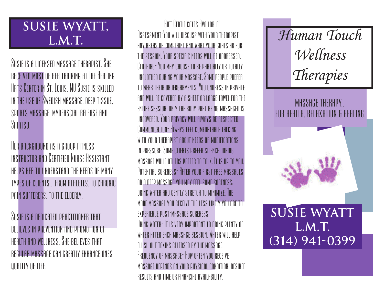## **Susie Wyatt, L.M.T.**

Susie is a licensed massage therapist. She received most of her training at The Healing Arts Center in St. Louis, MO Susie is skilled in the use of Swedish massage, deep tissue, sports massage, myofascial release and SHIATSU.

Her background as a group fitness instructor and Certified Nurse Assistant helps her to understand the needs of many types of clients....from athletes, to chronic pain sufferers, to the elderly.

Susie is a dedicated practitioner that believes in prevention and promotion of health and wellness. She believes that regular massage can greatly enhance ones quality of life.

GIFT CERTIFICATES AVAILABLE! Assessment-You will discuss with your therapist any areas of complaint and what your goals ar for the session. Your specific needs will be addressed. Clothing- You may choose to be partially or totally unclothed during your massage. Some people prefer to wear their undergarments. You undress in private and will be covered by a sheet or large towel for the entire session, only the body part being massaged is uncovered. Your privacy will always be respected. COMMUNICATION- RIWAYS FEEL COMFORTABLE TALKING with your therapist about needs or modifications in pressure. Some clients prefer silence during massage while others prefer to talk. It is up to you. POTENTIAL SORENESS- AFTER YOUR FIRST FREE MASSAGES or a deep massage you may feel some soreness: drink water and gently stretch to minimize. The more massage you receive the less likely you are to experience post-massage soreness. Drink water- It is very important to drink plenty of water after each massage session. Water will help flush out toxins released by the massage. Frequency of massage- How often you receive massage depends on your physical condition, desired results and time or financial availability.



MASSAGE THERAPY... FOR HEALTH, RELAXATION & HEALING.

**Susie Wyatt L.M.T. (314) 941-0399**